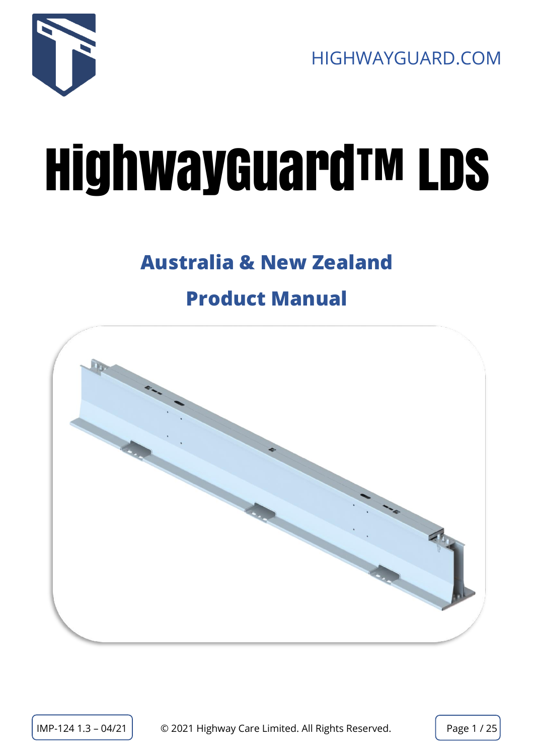

# HighwayGuard™ LDS

# **Australia & New Zealand**

# **Product Manual**

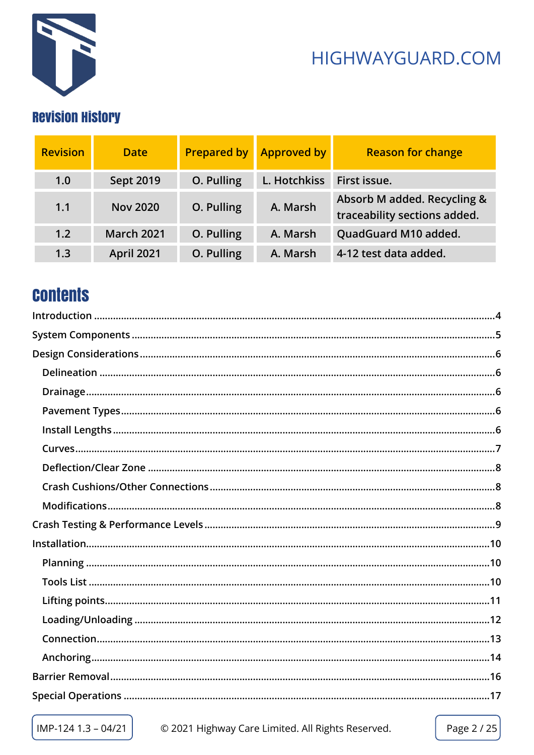

## **Revision History**

| <b>Revision</b> | <b>Date</b>       | <b>Prepared by</b> | <b>Approved by</b> | <b>Reason for change</b>                                    |
|-----------------|-------------------|--------------------|--------------------|-------------------------------------------------------------|
| 1.0             | <b>Sept 2019</b>  | O. Pulling         | L. Hotchkiss       | First issue.                                                |
| 1.1             | <b>Nov 2020</b>   | O. Pulling         | A. Marsh           | Absorb M added. Recycling &<br>traceability sections added. |
| 1.2             | <b>March 2021</b> | O. Pulling         | A. Marsh           | QuadGuard M10 added.                                        |
| 1.3             | <b>April 2021</b> | O. Pulling         | A. Marsh           | 4-12 test data added.                                       |

## **Contents**

IMP-124 1.3 - 04/21

© 2021 Highway Care Limited. All Rights Reserved.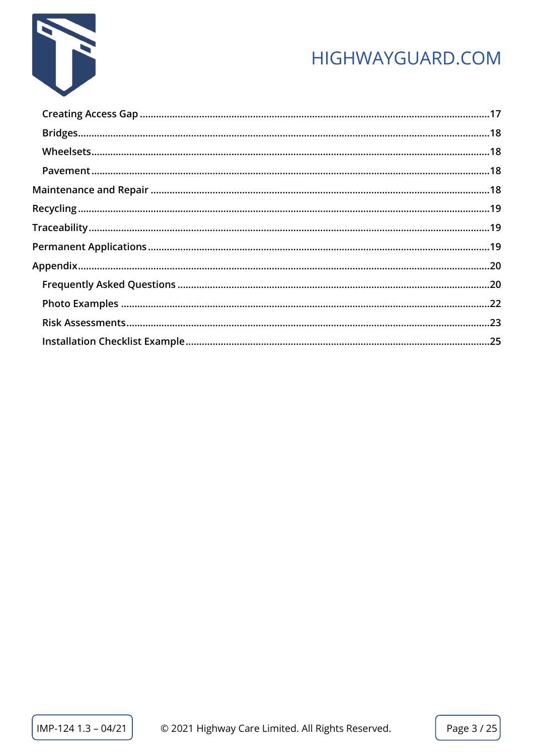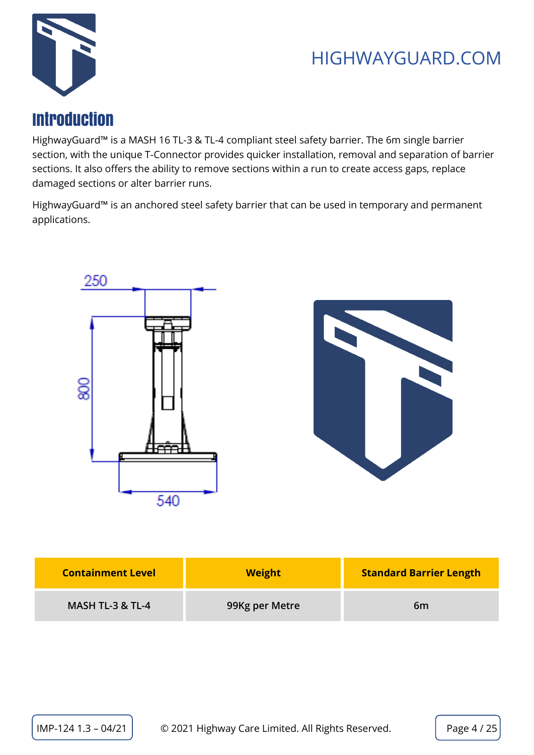

## <span id="page-3-0"></span>Introduction

HighwayGuard™ is a MASH 16 TL-3 & TL-4 compliant steel safety barrier. The 6m single barrier section, with the unique T-Connector provides quicker installation, removal and separation of barrier sections. It also offers the ability to remove sections within a run to create access gaps, replace damaged sections or alter barrier runs.

HighwayGuard™ is an anchored steel safety barrier that can be used in temporary and permanent applications.





| <b>Containment Level</b> | <b>Weight</b>  | <b>Standard Barrier Length</b> |
|--------------------------|----------------|--------------------------------|
| MASH TL-3 & TL-4         | 99Kg per Metre | 6 <sub>m</sub>                 |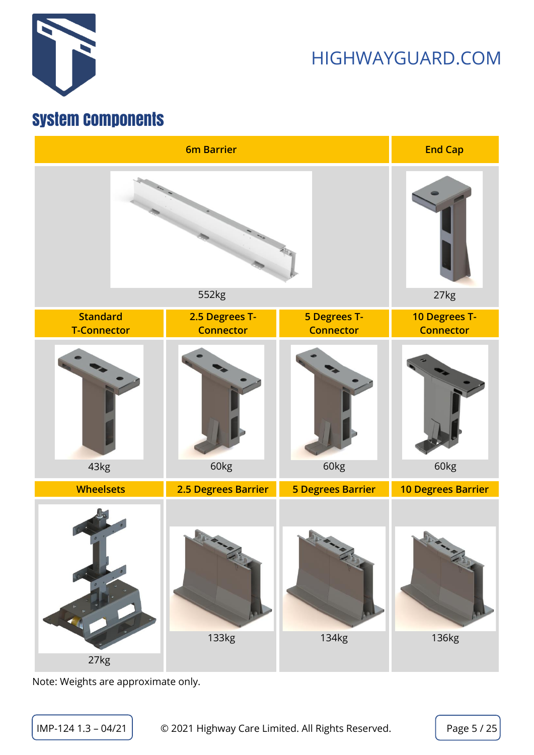

## <span id="page-4-0"></span>System Components



Note: Weights are approximate only.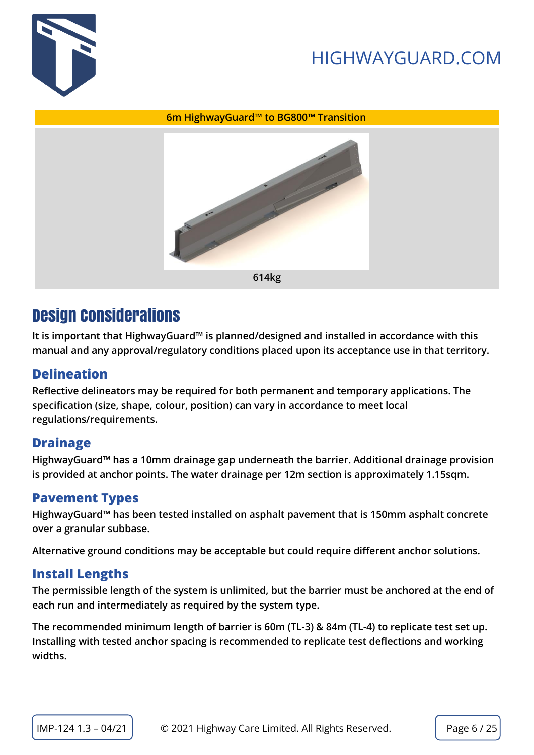



#### **6m HighwayGuard™ to BG800™ Transition**



## <span id="page-5-0"></span>Design Considerations

**It is important that HighwayGuard™ is planned/designed and installed in accordance with this manual and any approval/regulatory conditions placed upon its acceptance use in that territory.** 

#### <span id="page-5-1"></span>**Delineation**

**Reflective delineators may be required for both permanent and temporary applications. The specification (size, shape, colour, position) can vary in accordance to meet local regulations/requirements.**

#### <span id="page-5-2"></span>**Drainage**

**HighwayGuard™ has a 10mm drainage gap underneath the barrier. Additional drainage provision is provided at anchor points. The water drainage per 12m section is approximately 1.15sqm.**

#### <span id="page-5-3"></span>**Pavement Types**

**HighwayGuard™ has been tested installed on asphalt pavement that is 150mm asphalt concrete over a granular subbase.**

**Alternative ground conditions may be acceptable but could require different anchor solutions.** 

#### <span id="page-5-4"></span>**Install Lengths**

**The permissible length of the system is unlimited, but the barrier must be anchored at the end of each run and intermediately as required by the system type.** 

**The recommended minimum length of barrier is 60m (TL-3) & 84m (TL-4) to replicate test set up. Installing with tested anchor spacing is recommended to replicate test deflections and working widths.**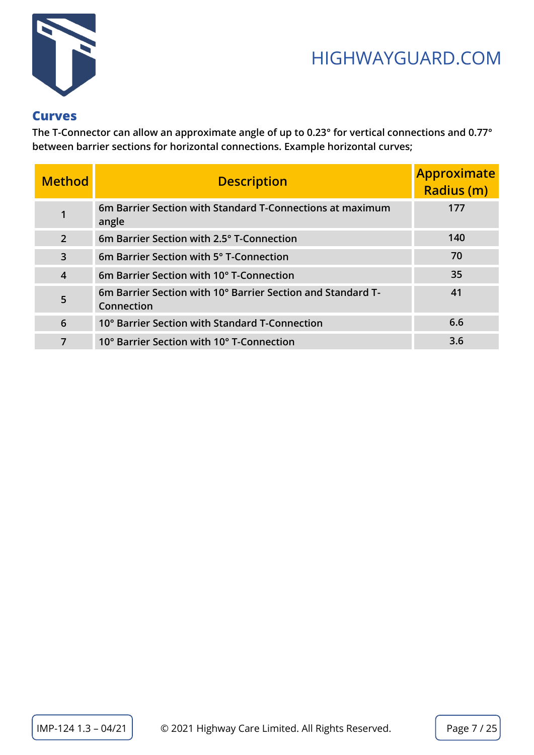

#### <span id="page-6-0"></span>**Curves**

**The T-Connector can allow an approximate angle of up to 0.23° for vertical connections and 0.77° between barrier sections for horizontal connections. Example horizontal curves;**

| <b>Method</b>  | <b>Description</b>                                                        | <b>Approximate</b><br><b>Radius (m)</b> |
|----------------|---------------------------------------------------------------------------|-----------------------------------------|
| 1              | 6m Barrier Section with Standard T-Connections at maximum<br>angle        | 177                                     |
| $\overline{2}$ | 6m Barrier Section with 2.5° T-Connection                                 | 140                                     |
| $\overline{3}$ | 6m Barrier Section with 5° T-Connection                                   | 70                                      |
| $\overline{4}$ | 6m Barrier Section with 10° T-Connection                                  | 35                                      |
| 5              | 6m Barrier Section with 10° Barrier Section and Standard T-<br>Connection | 41                                      |
| 6              | 10° Barrier Section with Standard T-Connection                            | 6.6                                     |
| 7              | 10° Barrier Section with 10° T-Connection                                 | 3.6                                     |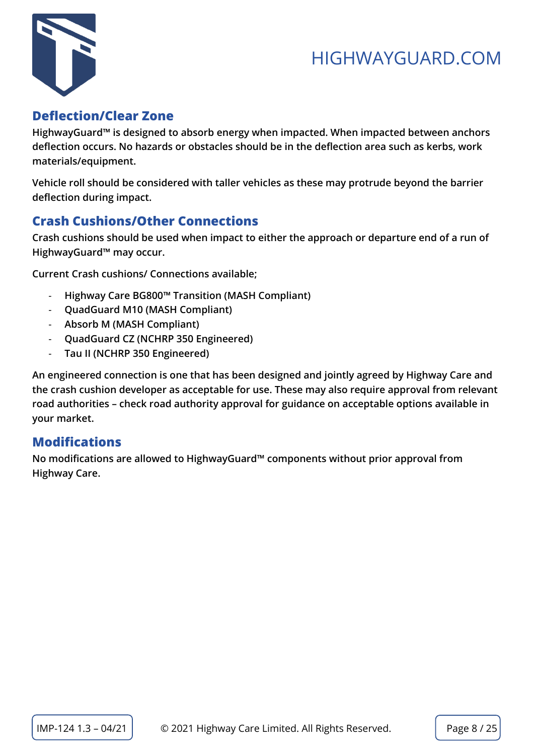

#### <span id="page-7-0"></span>**Deflection/Clear Zone**

**HighwayGuard™ is designed to absorb energy when impacted. When impacted between anchors deflection occurs. No hazards or obstacles should be in the deflection area such as kerbs, work materials/equipment.**

**Vehicle roll should be considered with taller vehicles as these may protrude beyond the barrier deflection during impact.** 

#### <span id="page-7-1"></span>**Crash Cushions/Other Connections**

**Crash cushions should be used when impact to either the approach or departure end of a run of HighwayGuard™ may occur.**

**Current Crash cushions/ Connections available;**

- **Highway Care BG800™ Transition (MASH Compliant)**
- **QuadGuard M10 (MASH Compliant)**
- **Absorb M (MASH Compliant)**
- **QuadGuard CZ (NCHRP 350 Engineered)**
- **Tau II (NCHRP 350 Engineered)**

**An engineered connection is one that has been designed and jointly agreed by Highway Care and the crash cushion developer as acceptable for use. These may also require approval from relevant road authorities – check road authority approval for guidance on acceptable options available in your market.**

#### <span id="page-7-2"></span>**Modifications**

**No modifications are allowed to HighwayGuard™ components without prior approval from Highway Care.**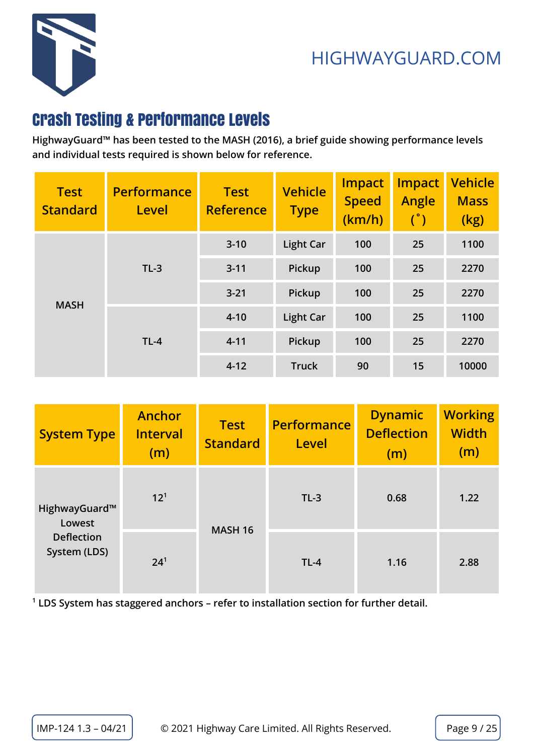

## <span id="page-8-0"></span>Crash Testing & Performance Levels

**HighwayGuard™ has been tested to the MASH (2016), a brief guide showing performance levels and individual tests required is shown below for reference.**

| <b>Test</b><br><b>Standard</b> | <b>Performance</b><br>Level | <b>Test</b><br><b>Reference</b> | <b>Vehicle</b><br><b>Type</b> | <b>Impact</b><br><b>Speed</b><br>(km/h) | <b>Impact</b><br>Angle<br>$(\degree)$ | <b>Vehicle</b><br><b>Mass</b><br>(kg) |
|--------------------------------|-----------------------------|---------------------------------|-------------------------------|-----------------------------------------|---------------------------------------|---------------------------------------|
| <b>MASH</b>                    | $TL-3$                      | $3 - 10$                        | <b>Light Car</b>              | 100                                     | 25                                    | 1100                                  |
|                                |                             | $3 - 11$                        | <b>Pickup</b>                 | 100                                     | 25                                    | 2270                                  |
|                                |                             | $3 - 21$                        | <b>Pickup</b>                 | 100                                     | 25                                    | 2270                                  |
|                                | $TL-4$                      | $4 - 10$                        | <b>Light Car</b>              | 100                                     | 25                                    | 1100                                  |
|                                |                             | $4 - 11$                        | Pickup                        | 100                                     | 25                                    | 2270                                  |
|                                |                             | $4 - 12$                        | <b>Truck</b>                  | 90                                      | 15                                    | 10000                                 |

| <b>System Type</b>                | <b>Anchor</b><br><b>Interval</b><br>(m) | <b>Test</b><br><b>Standard</b> | <b>Performance</b><br>Level | <b>Dynamic</b><br><b>Deflection</b><br>(m) | <b>Working</b><br><b>Width</b><br>(m) |
|-----------------------------------|-----------------------------------------|--------------------------------|-----------------------------|--------------------------------------------|---------------------------------------|
| HighwayGuard™<br>Lowest           | $12^{1}$                                | <b>MASH 16</b>                 | $TL-3$                      | 0.68                                       | 1.22                                  |
| <b>Deflection</b><br>System (LDS) | 24 <sup>1</sup>                         |                                | $TL-4$                      | 1.16                                       | 2.88                                  |

**1 LDS System has staggered anchors – refer to installation section for further detail.**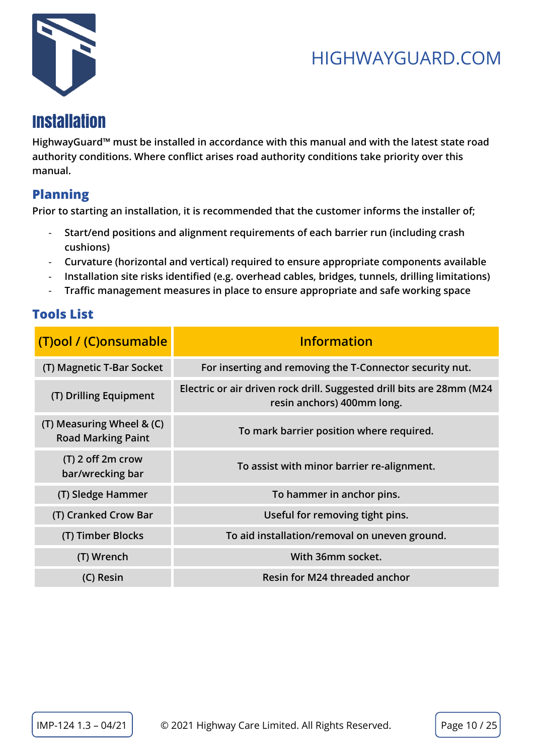

## <span id="page-9-0"></span>Installation

**HighwayGuard™ must be installed in accordance with this manual and with the latest state road authority conditions. Where conflict arises road authority conditions take priority over this manual.**

#### <span id="page-9-1"></span>**Planning**

**Prior to starting an installation, it is recommended that the customer informs the installer of;**

- **Start/end positions and alignment requirements of each barrier run (including crash cushions)**
- **Curvature (horizontal and vertical) required to ensure appropriate components available**
- **Installation site risks identified (e.g. overhead cables, bridges, tunnels, drilling limitations)**
- **Traffic management measures in place to ensure appropriate and safe working space**

#### <span id="page-9-2"></span>**Tools List**

| (T)ool / (C)onsumable                                  | <b>Information</b>                                                                                  |
|--------------------------------------------------------|-----------------------------------------------------------------------------------------------------|
| (T) Magnetic T-Bar Socket                              | For inserting and removing the T-Connector security nut.                                            |
| (T) Drilling Equipment                                 | Electric or air driven rock drill. Suggested drill bits are 28mm (M24<br>resin anchors) 400mm long. |
| (T) Measuring Wheel & (C)<br><b>Road Marking Paint</b> | To mark barrier position where required.                                                            |
| $(T)$ 2 off 2m crow<br>bar/wrecking bar                | To assist with minor barrier re-alignment.                                                          |
| (T) Sledge Hammer                                      | To hammer in anchor pins.                                                                           |
| (T) Cranked Crow Bar                                   | Useful for removing tight pins.                                                                     |
| (T) Timber Blocks                                      | To aid installation/removal on uneven ground.                                                       |
| (T) Wrench                                             | With 36mm socket.                                                                                   |
| (C) Resin                                              | Resin for M24 threaded anchor                                                                       |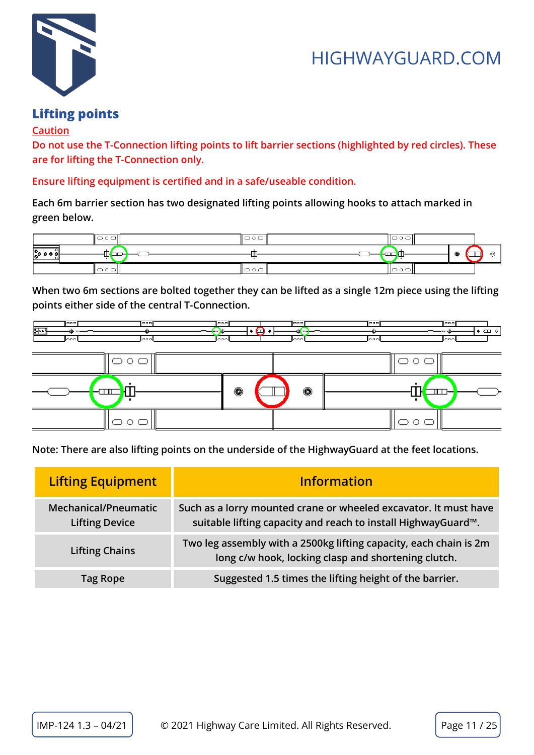

## <span id="page-10-0"></span>**Lifting points**

#### **Caution**

**Do not use the T-Connection lifting points to lift barrier sections (highlighted by red circles). These are for lifting the T-Connection only.** 

**Ensure lifting equipment is certified and in a safe/useable condition.**

**Each 6m barrier section has two designated lifting points allowing hooks to attach marked in green below.** 



**When two 6m sections are bolted together they can be lifted as a single 12m piece using the lifting points either side of the central T-Connection.**



**Note: There are also lifting points on the underside of the HighwayGuard at the feet locations.**

| <b>Lifting Equipment</b>                             | <b>Information</b>                                                                                                                |
|------------------------------------------------------|-----------------------------------------------------------------------------------------------------------------------------------|
| <b>Mechanical/Pneumatic</b><br><b>Lifting Device</b> | Such as a lorry mounted crane or wheeled excavator. It must have<br>suitable lifting capacity and reach to install HighwayGuard™. |
| <b>Lifting Chains</b>                                | Two leg assembly with a 2500kg lifting capacity, each chain is 2m<br>long c/w hook, locking clasp and shortening clutch.          |
| <b>Tag Rope</b>                                      | Suggested 1.5 times the lifting height of the barrier.                                                                            |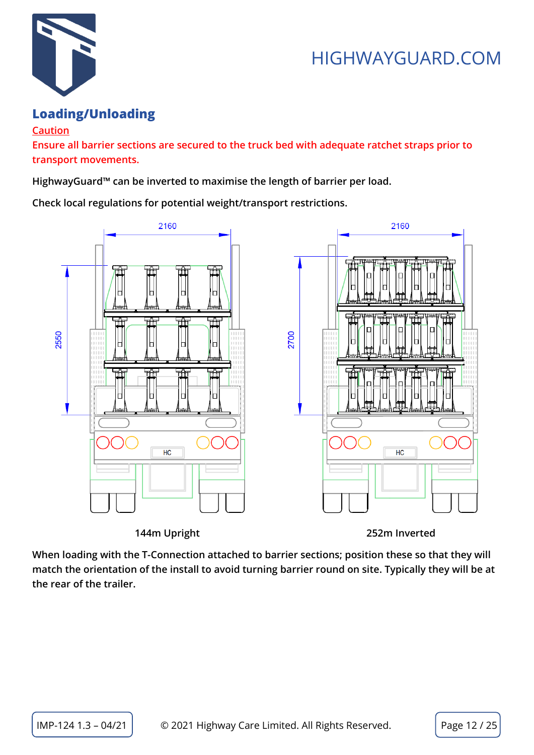

#### <span id="page-11-0"></span>**Loading/Unloading**

#### **Caution**

**Ensure all barrier sections are secured to the truck bed with adequate ratchet straps prior to transport movements.**

**HighwayGuard™ can be inverted to maximise the length of barrier per load.** 

**Check local regulations for potential weight/transport restrictions.**



 **144m Upright 252m Inverted**

**When loading with the T-Connection attached to barrier sections; position these so that they will match the orientation of the install to avoid turning barrier round on site. Typically they will be at the rear of the trailer.**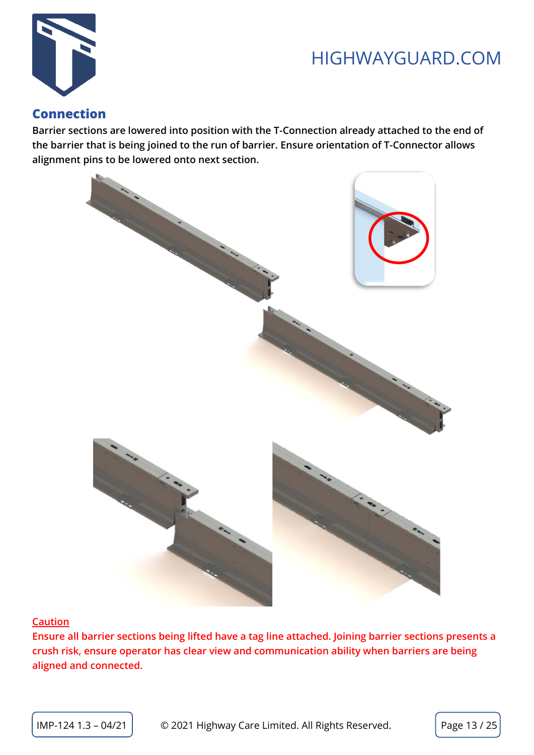

#### <span id="page-12-0"></span>**Connection**

**Barrier sections are lowered into position with the T-Connection already attached to the end of the barrier that is being joined to the run of barrier. Ensure orientation of T-Connector allows alignment pins to be lowered onto next section.**



#### **Caution**

**Ensure all barrier sections being lifted have a tag line attached. Joining barrier sections presents a crush risk, ensure operator has clear view and communication ability when barriers are being aligned and connected.**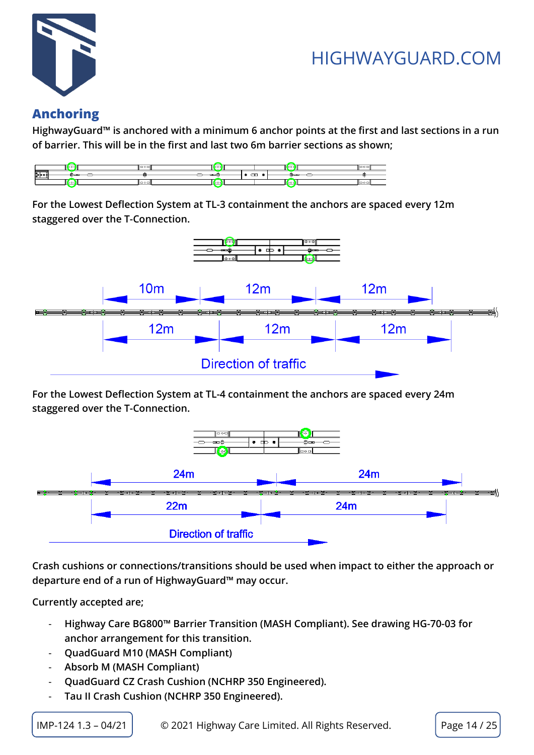

#### <span id="page-13-0"></span>**Anchoring**

**HighwayGuard™ is anchored with a minimum 6 anchor points at the first and last sections in a run of barrier. This will be in the first and last two 6m barrier sections as shown;**



**For the Lowest Deflection System at TL-3 containment the anchors are spaced every 12m staggered over the T-Connection.**



**For the Lowest Deflection System at TL-4 containment the anchors are spaced every 24m staggered over the T-Connection.**



**Crash cushions or connections/transitions should be used when impact to either the approach or departure end of a run of HighwayGuard™ may occur.**

**Currently accepted are;**

- **Highway Care BG800™ Barrier Transition (MASH Compliant). See drawing HG-70-03 for anchor arrangement for this transition.**
- **QuadGuard M10 (MASH Compliant)**
- **Absorb M (MASH Compliant)**
- **QuadGuard CZ Crash Cushion (NCHRP 350 Engineered).**
- **Tau II Crash Cushion (NCHRP 350 Engineered).**

 $IMP-124 1.3 - 04/21$   $\Box$   $\odot$  2021 Highway Care Limited. All Rights Reserved. Page 14 / 25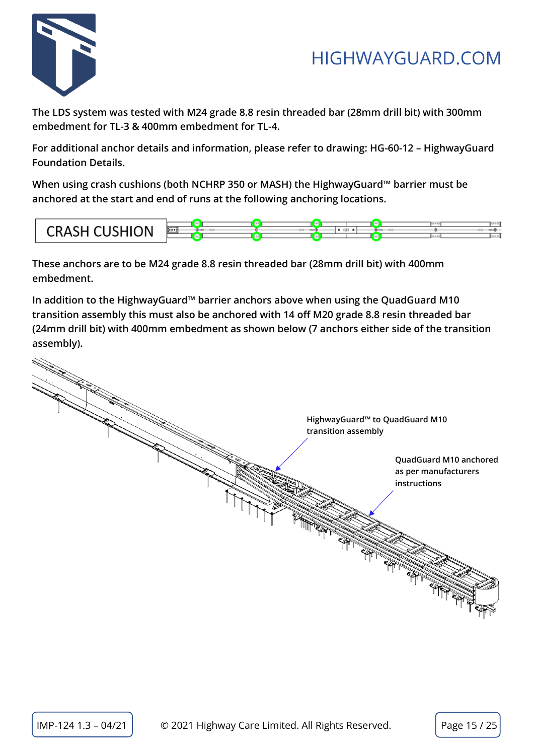

**The LDS system was tested with M24 grade 8.8 resin threaded bar (28mm drill bit) with 300mm embedment for TL-3 & 400mm embedment for TL-4.**

**For additional anchor details and information, please refer to drawing: HG-60-12 – HighwayGuard Foundation Details.**

**When using crash cushions (both NCHRP 350 or MASH) the HighwayGuard™ barrier must be anchored at the start and end of runs at the following anchoring locations.**



**These anchors are to be M24 grade 8.8 resin threaded bar (28mm drill bit) with 400mm embedment.**

**In addition to the HighwayGuard™ barrier anchors above when using the QuadGuard M10 transition assembly this must also be anchored with 14 off M20 grade 8.8 resin threaded bar (24mm drill bit) with 400mm embedment as shown below (7 anchors either side of the transition assembly).** 

| HighwayGuard <sup>™</sup> to QuadGuard M10                     |
|----------------------------------------------------------------|
|                                                                |
| transition assembly                                            |
| QuadGuard M10 anchored<br>as per manufacturers<br>instructions |
|                                                                |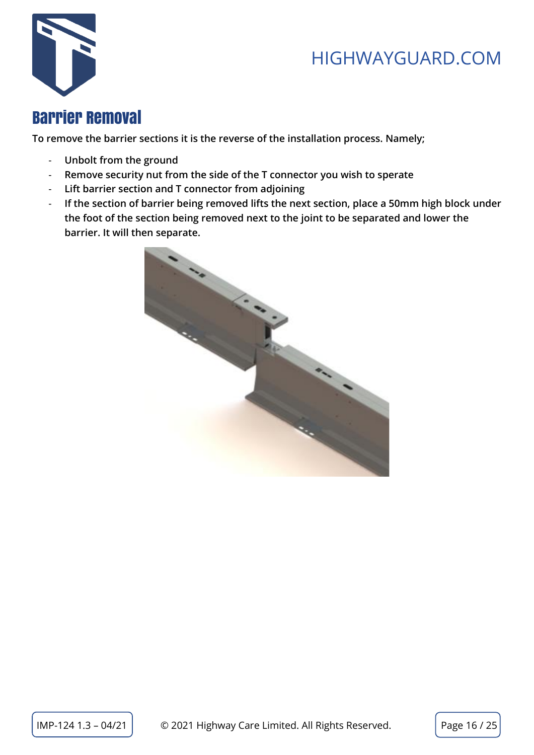

## <span id="page-15-0"></span>Barrier Removal

**To remove the barrier sections it is the reverse of the installation process. Namely;**

- **Unbolt from the ground**
- **Remove security nut from the side of the T connector you wish to sperate**
- **Lift barrier section and T connector from adjoining**
- **If the section of barrier being removed lifts the next section, place a 50mm high block under the foot of the section being removed next to the joint to be separated and lower the barrier. It will then separate.**

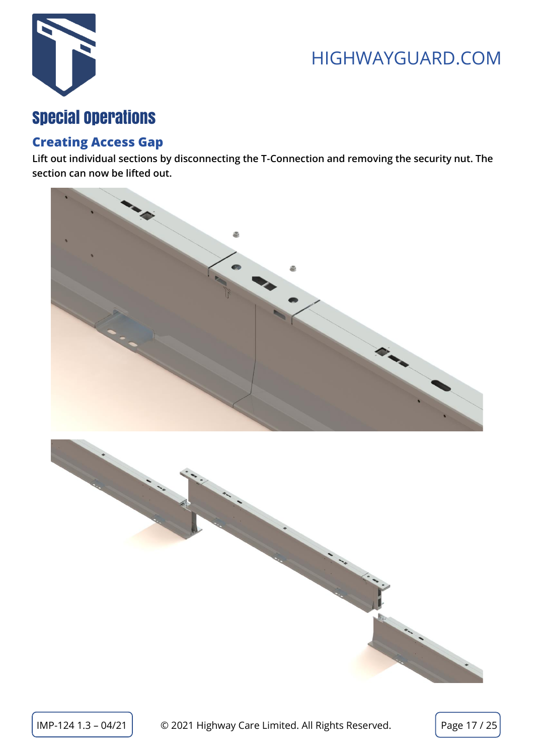

## <span id="page-16-0"></span>Special Operations

#### <span id="page-16-1"></span>**Creating Access Gap**

**Lift out individual sections by disconnecting the T-Connection and removing the security nut. The section can now be lifted out.**



 $\text{IMP-124 1.3 - 04/21 }$   $\circ$  2021 Highway Care Limited. All Rights Reserved. Page 17 / 25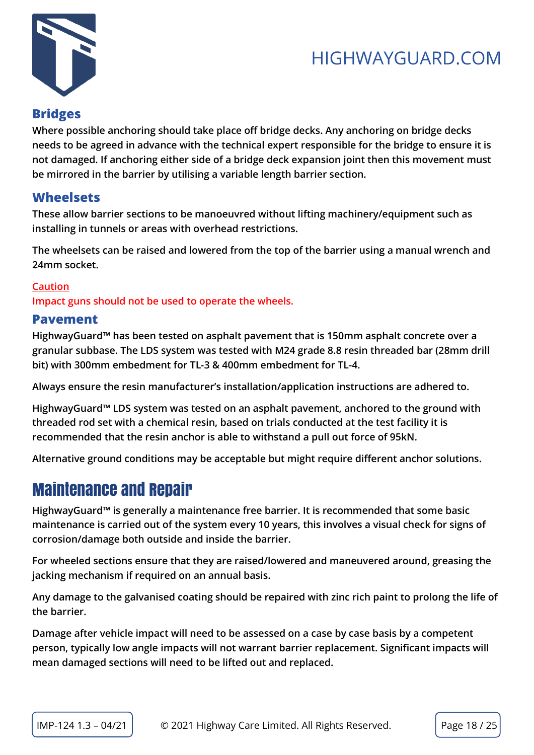

#### <span id="page-17-0"></span>**Bridges**

**Where possible anchoring should take place off bridge decks. Any anchoring on bridge decks needs to be agreed in advance with the technical expert responsible for the bridge to ensure it is not damaged. If anchoring either side of a bridge deck expansion joint then this movement must be mirrored in the barrier by utilising a variable length barrier section.**

#### <span id="page-17-1"></span>**Wheelsets**

**These allow barrier sections to be manoeuvred without lifting machinery/equipment such as installing in tunnels or areas with overhead restrictions.** 

**The wheelsets can be raised and lowered from the top of the barrier using a manual wrench and 24mm socket.**

#### **Caution**

**Impact guns should not be used to operate the wheels.**

#### <span id="page-17-2"></span>**Pavement**

**HighwayGuard™ has been tested on asphalt pavement that is 150mm asphalt concrete over a granular subbase. The LDS system was tested with M24 grade 8.8 resin threaded bar (28mm drill bit) with 300mm embedment for TL-3 & 400mm embedment for TL-4.**

**Always ensure the resin manufacturer's installation/application instructions are adhered to.**

**HighwayGuard™ LDS system was tested on an asphalt pavement, anchored to the ground with threaded rod set with a chemical resin, based on trials conducted at the test facility it is recommended that the resin anchor is able to withstand a pull out force of 95kN.**

**Alternative ground conditions may be acceptable but might require different anchor solutions.**

## <span id="page-17-3"></span>Maintenance and Repair

**HighwayGuard™ is generally a maintenance free barrier. It is recommended that some basic maintenance is carried out of the system every 10 years, this involves a visual check for signs of corrosion/damage both outside and inside the barrier.** 

**For wheeled sections ensure that they are raised/lowered and maneuvered around, greasing the jacking mechanism if required on an annual basis.**

**Any damage to the galvanised coating should be repaired with zinc rich paint to prolong the life of the barrier.**

**Damage after vehicle impact will need to be assessed on a case by case basis by a competent person, typically low angle impacts will not warrant barrier replacement. Significant impacts will mean damaged sections will need to be lifted out and replaced.**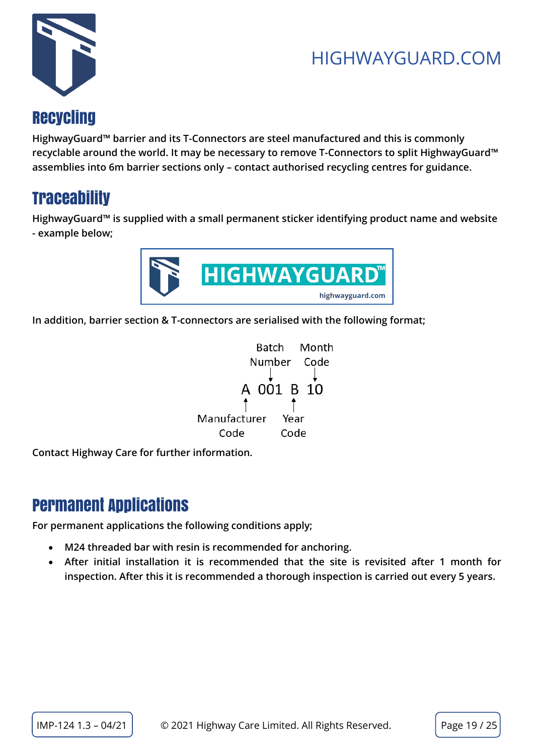



## <span id="page-18-0"></span>**Recycling**

**HighwayGuard™ barrier and its T-Connectors are steel manufactured and this is commonly recyclable around the world. It may be necessary to remove T-Connectors to split HighwayGuard™ assemblies into 6m barrier sections only – contact authorised recycling centres for guidance.**

## <span id="page-18-1"></span>**Traceability**

**HighwayGuard™ is supplied with a small permanent sticker identifying product name and website - example below;**



**In addition, barrier section & T-connectors are serialised with the following format;**



**Contact Highway Care for further information.**

## <span id="page-18-2"></span>Permanent Applications

**For permanent applications the following conditions apply;**

- **M24 threaded bar with resin is recommended for anchoring.**
- **After initial installation it is recommended that the site is revisited after 1 month for inspection. After this it is recommended a thorough inspection is carried out every 5 years.**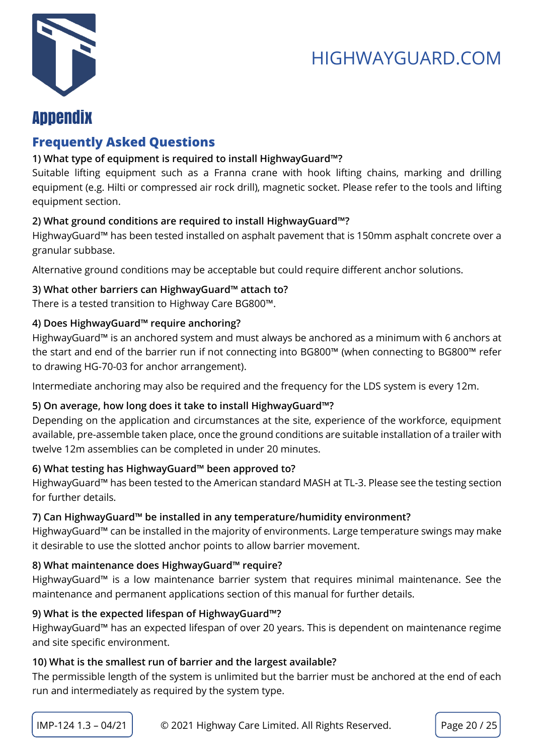



## <span id="page-19-0"></span>Appendix

#### <span id="page-19-1"></span>**Frequently Asked Questions**

#### **1) What type of equipment is required to install HighwayGuard™?**

Suitable lifting equipment such as a Franna crane with hook lifting chains, marking and drilling equipment (e.g. Hilti or compressed air rock drill), magnetic socket. Please refer to the tools and lifting equipment section.

#### **2) What ground conditions are required to install HighwayGuard™?**

HighwayGuard™ has been tested installed on asphalt pavement that is 150mm asphalt concrete over a granular subbase.

Alternative ground conditions may be acceptable but could require different anchor solutions.

#### **3) What other barriers can HighwayGuard™ attach to?**

There is a tested transition to Highway Care BG800™.

#### **4) Does HighwayGuard™ require anchoring?**

HighwayGuard™ is an anchored system and must always be anchored as a minimum with 6 anchors at the start and end of the barrier run if not connecting into BG800™ (when connecting to BG800™ refer to drawing HG-70-03 for anchor arrangement).

Intermediate anchoring may also be required and the frequency for the LDS system is every 12m.

#### **5) On average, how long does it take to install HighwayGuard™?**

Depending on the application and circumstances at the site, experience of the workforce, equipment available, pre-assemble taken place, once the ground conditions are suitable installation of a trailer with twelve 12m assemblies can be completed in under 20 minutes.

#### **6) What testing has HighwayGuard™ been approved to?**

HighwayGuard™ has been tested to the American standard MASH at TL-3. Please see the testing section for further details.

#### **7) Can HighwayGuard™ be installed in any temperature/humidity environment?**

HighwayGuard™ can be installed in the majority of environments. Large temperature swings may make it desirable to use the slotted anchor points to allow barrier movement.

#### **8) What maintenance does HighwayGuard™ require?**

HighwayGuard™ is a low maintenance barrier system that requires minimal maintenance. See the maintenance and permanent applications section of this manual for further details.

#### **9) What is the expected lifespan of HighwayGuard™?**

HighwayGuard™ has an expected lifespan of over 20 years. This is dependent on maintenance regime and site specific environment.

#### **10) What is the smallest run of barrier and the largest available?**

The permissible length of the system is unlimited but the barrier must be anchored at the end of each run and intermediately as required by the system type.

 $IMP-124 1.3 - 04/21$   $\Box$   $\odot$  2021 Highway Care Limited. All Rights Reserved. Page 20 / 25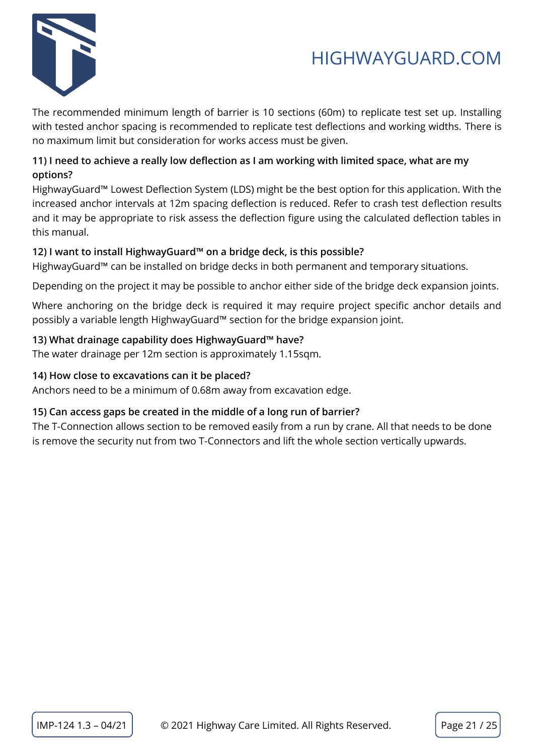

The recommended minimum length of barrier is 10 sections (60m) to replicate test set up. Installing with tested anchor spacing is recommended to replicate test deflections and working widths. There is no maximum limit but consideration for works access must be given.

#### **11) I need to achieve a really low deflection as I am working with limited space, what are my options?**

HighwayGuard™ Lowest Deflection System (LDS) might be the best option for this application. With the increased anchor intervals at 12m spacing deflection is reduced. Refer to crash test deflection results and it may be appropriate to risk assess the deflection figure using the calculated deflection tables in this manual.

#### **12) I want to install HighwayGuard™ on a bridge deck, is this possible?**

HighwayGuard™ can be installed on bridge decks in both permanent and temporary situations.

Depending on the project it may be possible to anchor either side of the bridge deck expansion joints.

Where anchoring on the bridge deck is required it may require project specific anchor details and possibly a variable length HighwayGuard™ section for the bridge expansion joint.

#### **13) What drainage capability does HighwayGuard™ have?**

The water drainage per 12m section is approximately 1.15sqm.

#### **14) How close to excavations can it be placed?**

Anchors need to be a minimum of 0.68m away from excavation edge.

#### **15) Can access gaps be created in the middle of a long run of barrier?**

The T-Connection allows section to be removed easily from a run by crane. All that needs to be done is remove the security nut from two T-Connectors and lift the whole section vertically upwards.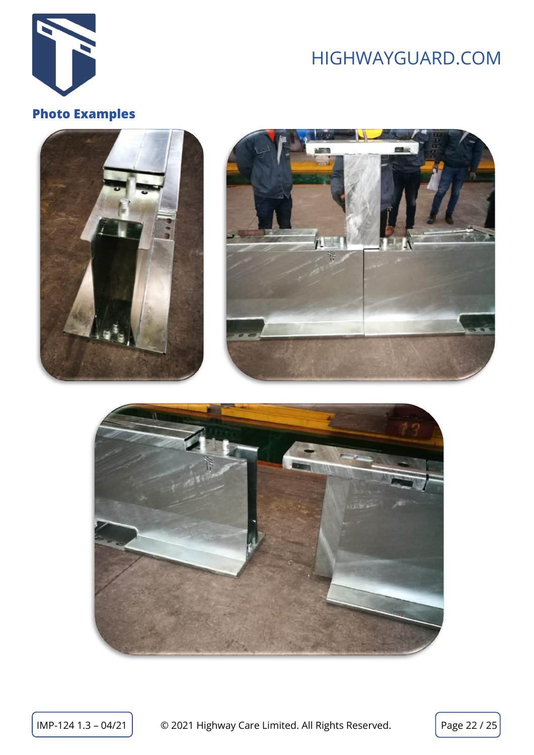

### <span id="page-21-0"></span>**Photo Examples**





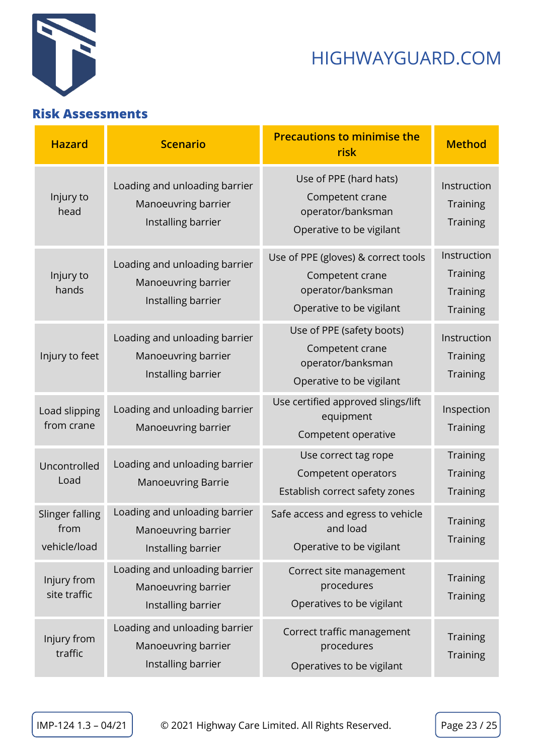

#### <span id="page-22-0"></span>**Risk Assessments**

| <b>Hazard</b>                           | <b>Scenario</b>                                                            | <b>Precautions to minimise the</b><br>risk                                                              | <b>Method</b>                                                        |
|-----------------------------------------|----------------------------------------------------------------------------|---------------------------------------------------------------------------------------------------------|----------------------------------------------------------------------|
| Injury to<br>head                       | Loading and unloading barrier<br>Manoeuvring barrier<br>Installing barrier | Use of PPE (hard hats)<br>Competent crane<br>operator/banksman<br>Operative to be vigilant              | Instruction<br><b>Training</b><br><b>Training</b>                    |
| Injury to<br>hands                      | Loading and unloading barrier<br>Manoeuvring barrier<br>Installing barrier | Use of PPE (gloves) & correct tools<br>Competent crane<br>operator/banksman<br>Operative to be vigilant | Instruction<br><b>Training</b><br><b>Training</b><br><b>Training</b> |
| Injury to feet                          | Loading and unloading barrier<br>Manoeuvring barrier<br>Installing barrier | Use of PPE (safety boots)<br>Competent crane<br>operator/banksman<br>Operative to be vigilant           | Instruction<br><b>Training</b><br><b>Training</b>                    |
| Load slipping<br>from crane             | Loading and unloading barrier<br>Manoeuvring barrier                       | Use certified approved slings/lift<br>equipment<br>Competent operative                                  | Inspection<br><b>Training</b>                                        |
| Uncontrolled<br>Load                    | Loading and unloading barrier<br><b>Manoeuvring Barrie</b>                 | Use correct tag rope<br>Competent operators<br>Establish correct safety zones                           | <b>Training</b><br><b>Training</b><br>Training                       |
| Slinger falling<br>from<br>vehicle/load | Loading and unloading barrier<br>Manoeuvring barrier<br>Installing barrier | Safe access and egress to vehicle<br>and load<br>Operative to be vigilant                               | Training<br><b>Training</b>                                          |
| Injury from<br>site traffic             | Loading and unloading barrier<br>Manoeuvring barrier<br>Installing barrier | Correct site management<br>procedures<br>Operatives to be vigilant                                      | <b>Training</b><br><b>Training</b>                                   |
| Injury from<br>traffic                  | Loading and unloading barrier<br>Manoeuvring barrier<br>Installing barrier | Correct traffic management<br>procedures<br>Operatives to be vigilant                                   | <b>Training</b><br><b>Training</b>                                   |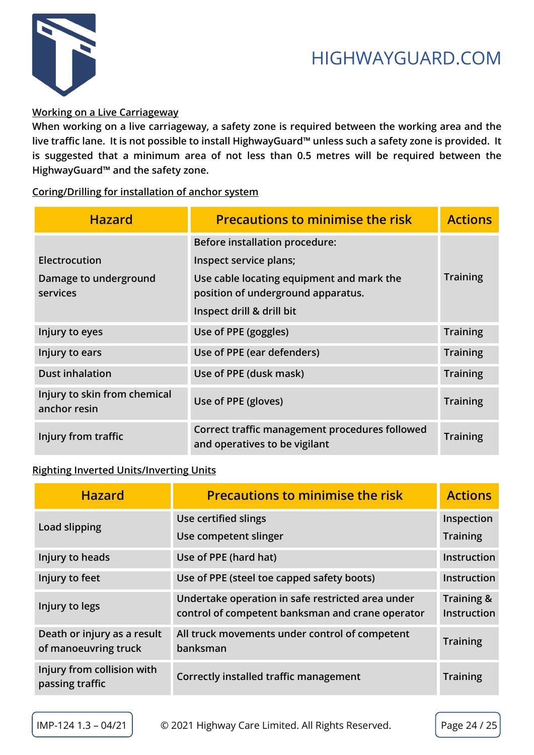

#### **Working on a Live Carriageway**

**When working on a live carriageway, a safety zone is required between the working area and the live traffic lane. It is not possible to install HighwayGuard™ unless such a safety zone is provided. It is suggested that a minimum area of not less than 0.5 metres will be required between the HighwayGuard™ and the safety zone.**

**Coring/Drilling for installation of anchor system**

| <b>Hazard</b>                                | <b>Precautions to minimise the risk</b>                                         | <b>Actions</b>  |
|----------------------------------------------|---------------------------------------------------------------------------------|-----------------|
|                                              | <b>Before installation procedure:</b>                                           |                 |
| Electrocution                                | Inspect service plans;                                                          |                 |
| Damage to underground<br>services            | Use cable locating equipment and mark the<br>position of underground apparatus. | <b>Training</b> |
|                                              | Inspect drill & drill bit                                                       |                 |
| Injury to eyes                               | Use of PPE (goggles)                                                            | <b>Training</b> |
| Injury to ears                               | Use of PPE (ear defenders)                                                      | <b>Training</b> |
| <b>Dust inhalation</b>                       | Use of PPE (dusk mask)                                                          | <b>Training</b> |
| Injury to skin from chemical<br>anchor resin | Use of PPE (gloves)                                                             | <b>Training</b> |
| Injury from traffic                          | Correct traffic management procedures followed<br>and operatives to be vigilant | <b>Training</b> |

#### **Righting Inverted Units/Inverting Units**

| <b>Hazard</b>                                       | <b>Precautions to minimise the risk</b>                                                               | <b>Actions</b>                   |
|-----------------------------------------------------|-------------------------------------------------------------------------------------------------------|----------------------------------|
| Load slipping                                       | Use certified slings                                                                                  | Inspection                       |
|                                                     | Use competent slinger                                                                                 | <b>Training</b>                  |
| Injury to heads                                     | Use of PPE (hard hat)                                                                                 | Instruction                      |
| Injury to feet                                      | Use of PPE (steel toe capped safety boots)                                                            | <b>Instruction</b>               |
| Injury to legs                                      | Undertake operation in safe restricted area under<br>control of competent banksman and crane operator | Training &<br><b>Instruction</b> |
| Death or injury as a result<br>of manoeuvring truck | All truck movements under control of competent<br>banksman                                            | <b>Training</b>                  |
| Injury from collision with<br>passing traffic       | Correctly installed traffic management                                                                | <b>Training</b>                  |

 $IMP-124 1.3 - 04/21$   $\circ$  2021 Highway Care Limited. All Rights Reserved. Page 24 / 25